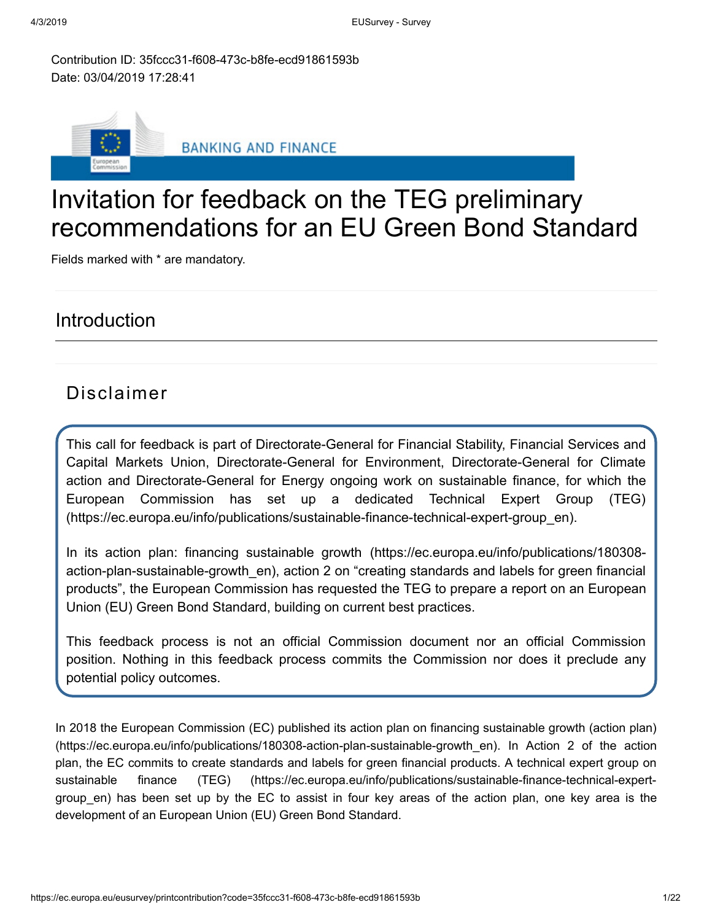Contribution ID: 35fccc31-f608-473c-b8fe-ecd91861593b Date: 03/04/2019 17:28:41



# Invitation for feedback on the TEG preliminary recommendations for an EU Green Bond Standard

Fields marked with \* are mandatory.

## Introduction

## Disclaimer

This call for feedback is part of Directorate-General for Financial Stability, Financial Services and Capital Markets Union, Directorate-General for Environment, Directorate-General for Climate action and Directorate-General for Energy ongoing work on sustainable finance, for which the European Commission has set up a dedicated Technical Expert Group (TEG) [\(https://ec.europa.eu/info/publications/sustainable-finance-technical-expert-group\\_en\).](https://ec.europa.eu/info/publications/sustainable-finance-technical-expert-group_en)

In its action plan: financing sustainable growth [\(https://ec.europa.eu/info/publications/180308](https://ec.europa.eu/info/publications/180308-action-plan-sustainable-growth_en) action-plan-sustainable-growth\_en), action 2 on "creating standards and labels for green financial products", the European Commission has requested the TEG to prepare a report on an European Union (EU) Green Bond Standard, building on current best practices.

This feedback process is not an official Commission document nor an official Commission position. Nothing in this feedback process commits the Commission nor does it preclude any potential policy outcomes.

In 2018 the European Commission (EC) published its action plan on financing sustainable growth (action plan) [\(https://ec.europa.eu/info/publications/180308-action-plan-sustainable-growth\\_en\). In Action 2 of the action](https://ec.europa.eu/info/publications/180308-action-plan-sustainable-growth_en) plan, the EC commits to create standards and labels for green financial products. A technical expert group on sustainable finance (TEG) (https://ec.europa.eu/info/publications/sustainable-finance-technical-expertgroup en) [has been set up by the EC to assist in four key areas of the action plan, one key area is the](https://ec.europa.eu/info/publications/sustainable-finance-technical-expert-group_en) development of an European Union (EU) Green Bond Standard.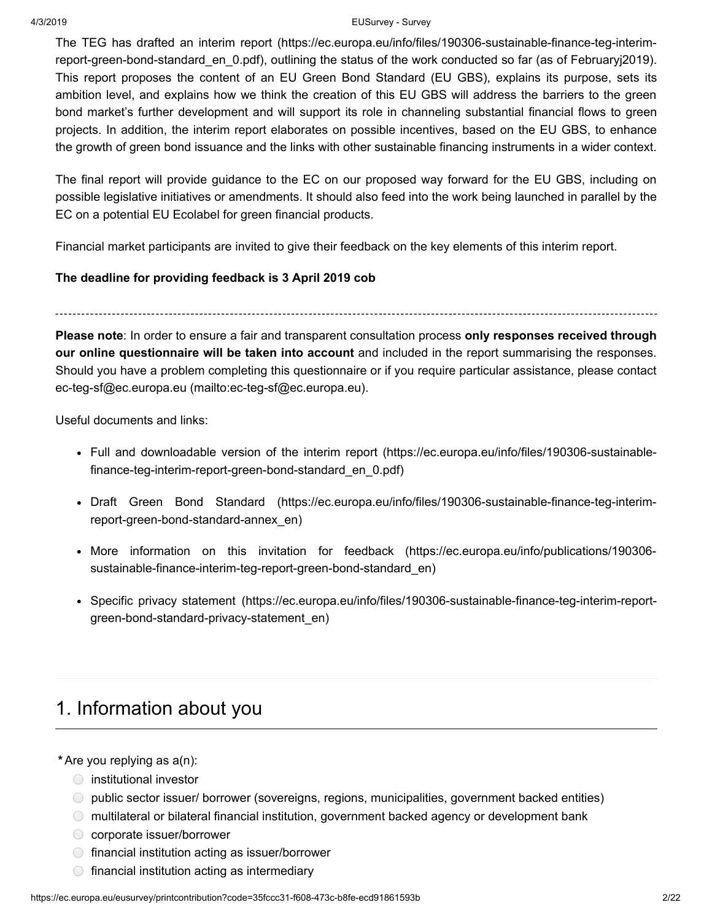#### 4/3/2019 EUSurvey - Survey

The TEG has drafted an interim report (https://ec.europa.eu/info/files/190306-sustainable-finance-teg-interimreport-green-bond-standard en 0.pdf), outlining the status of the work conducted so far (as of Februaryj2019). This report proposes the content of an EU Green Bond Standard (EU GBS), explains its purpose, sets its ambition level, and explains how we think the creation of this EU GBS will address the barriers to the green bond market's further development and will support its role in channeling substantial financial flows to green projects. In addition, the interim report elaborates on possible incentives, based on the EU GBS, to enhance the growth of green bond issuance and the links with other sustainable financing instruments in a wider context.

The final report will provide guidance to the EC on our proposed way forward for the EU GBS, including on possible legislative initiatives or amendments. It should also feed into the work being launched in parallel by the EC on a potential EU Ecolabel for green financial products.

Financial market participants are invited to give their feedback on the key elements of this interim report.

## **The deadline for providing feedback is 3 April 2019 cob**

**Please note**: In order to ensure a fair and transparent consultation process **only responses received through our online questionnaire will be taken into account** and included in the report summarising the responses. Should you have a problem completing this questionnaire or if you require particular assistance, please contact [ec-teg-sf@ec.europa.eu \(mailto:ec-teg-sf@ec.europa.eu\)](mailto:ec-teg-sf@ec.europa.eu).

Useful documents and links:

- Full and downloadable version of the interim report (https://ec.europa.eu/info/files/190306-sustainable[finance-teg-interim-report-green-bond-standard\\_en\\_0.pdf\)](https://ec.europa.eu/info/files/190306-sustainable-finance-teg-interim-report-green-bond-standard_en_0.pdf)
- Draft Green Bond Standard [\(https://ec.europa.eu/info/files/190306-sustainable-finance-teg-interim](https://ec.europa.eu/info/files/190306-sustainable-finance-teg-interim-report-green-bond-standard-annex_en)report-green-bond-standard-annex\_en)
- More information on this invitation for feedback (https://ec.europa.eu/info/publications/190306 [sustainable-finance-interim-teg-report-green-bond-standard\\_en\)](https://ec.europa.eu/info/publications/190306-sustainable-finance-interim-teg-report-green-bond-standard_en)
- Specific privacy statement [\(https://ec.europa.eu/info/files/190306-sustainable-finance-teg-interim-report](https://ec.europa.eu/info/files/190306-sustainable-finance-teg-interim-report-green-bond-standard-privacy-statement_en)green-bond-standard-privacy-statement\_en)

# 1. Information about you

**\***Are you replying as a(n):

- $\bigcirc$  institutional investor
- public sector issuer/ borrower (sovereigns, regions, municipalities, government backed entities)
- multilateral or bilateral financial institution, government backed agency or development bank
- **◯** corporate issuer/borrower
- $\bigcirc$  financial institution acting as issuer/borrower
- $\circ$  financial institution acting as intermediary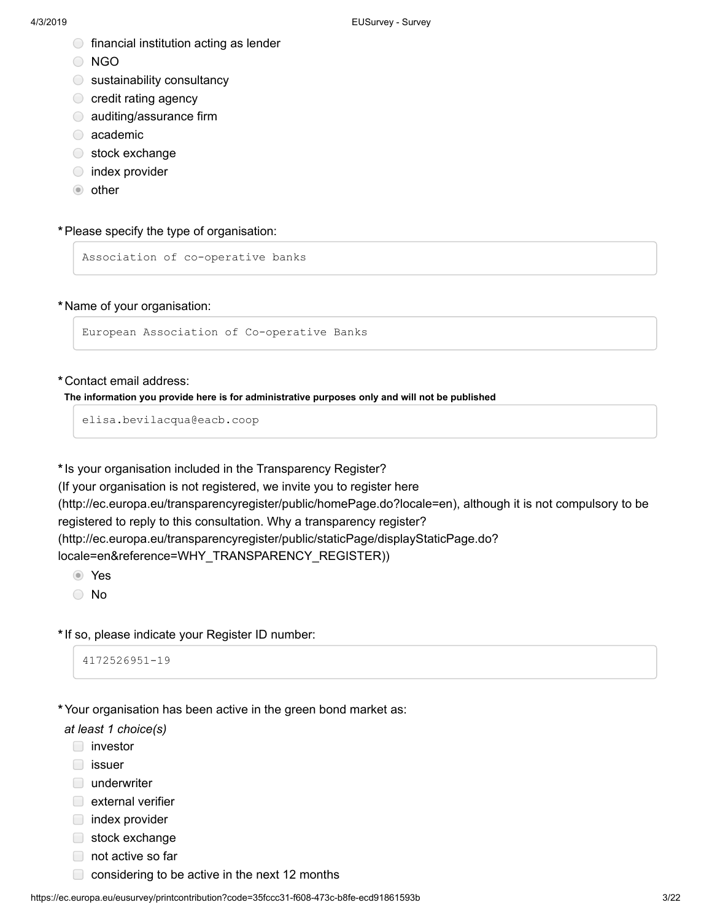- $\bigcirc$  financial institution acting as lender
- O NGO
- $\circ$  sustainability consultancy
- $\circ$  credit rating agency
- **C** auditing/assurance firm
- academic
- stock exchange
- $\circ$  index provider
- $\bullet$  other

#### **\***Please specify the type of organisation:

Association of co-operative banks

#### **\***Name of your organisation:

European Association of Co-operative Banks

#### **\***Contact email address:

#### **The information you provide here is for administrative purposes only and will not be published**

elisa.bevilacqua@eacb.coop

**\***Is your organisation included in the Transparency Register?

(If your organisation is not registered, we invite you to register here [\(http://ec.europa.eu/transparencyregister/public/homePage.do?locale=en\),](http://ec.europa.eu/transparencyregister/public/homePage.do?locale=en) although it is not compulsory to be registered to reply to this consultation. Why a transparency register? [\(http://ec.europa.eu/transparencyregister/public/staticPage/displayStaticPage.do?](http://ec.europa.eu/transparencyregister/public/staticPage/displayStaticPage.do?locale=en&reference=WHY_TRANSPARENCY_REGISTER) locale=en&reference=WHY\_TRANSPARENCY\_REGISTER))

Yes

No

**\***If so, please indicate your Register ID number:

```
4172526951-19
```
## **\***Your organisation has been active in the green bond market as:

*at least 1 choice(s)*

- **investor**
- □ issuer
- underwriter
- $\Box$  external verifier
- $\Box$  index provider
- stock exchange
- not active so far
- $\Box$  considering to be active in the next 12 months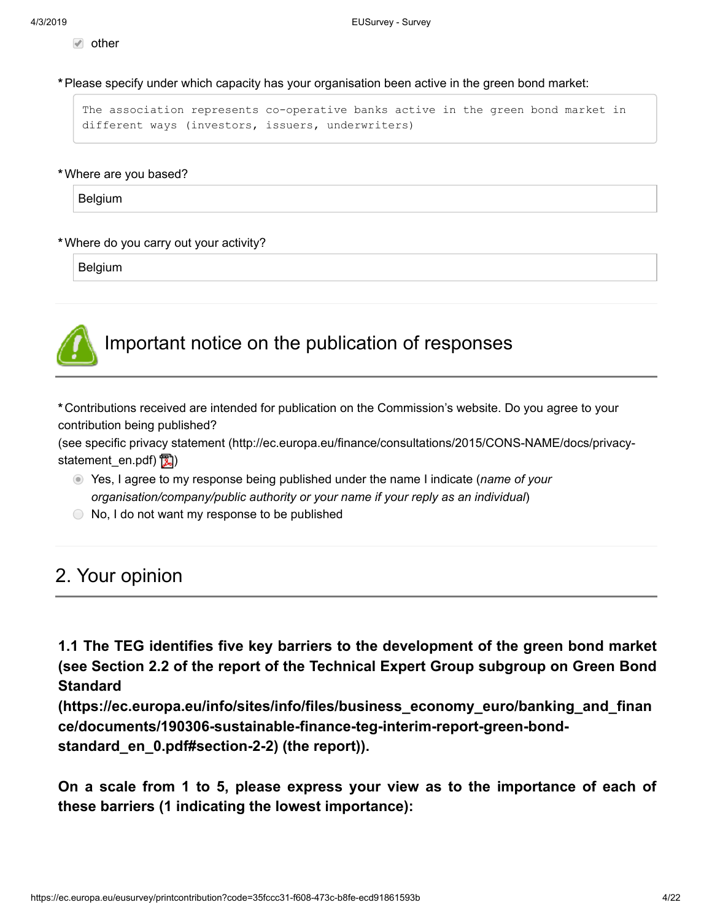$\sqrt{ }$  other

**\***Please specify under which capacity has your organisation been active in the green bond market:

The association represents co-operative banks active in the green bond market in different ways (investors, issuers, underwriters)

#### **\***Where are you based?

Belgium

#### **\***Where do you carry out your activity?

Belgium



# Important notice on the publication of responses

**\***Contributions received are intended for publication on the Commission's website. Do you agree to your contribution being published?

[\(see specific privacy statement \(http://ec.europa.eu/finance/consultations/2015/CONS-NAME/docs/privacy](http://ec.europa.eu/finance/consultations/2015/CONS-NAME/docs/privacy-statement_en.pdf)statement\_en.pdf)  $\mathbb{Z}$ )

- Yes, I agree to my response being published under the name I indicate (*name of your organisation/company/public authority or your name if your reply as an individual*)
- $\bigcirc$  No, I do not want my response to be published

## 2. Your opinion

**1.1 The TEG identifies five key barriers to the development of the green bond market (see Section 2.2 of the report of the Technical Expert Group subgroup on Green Bond Standard**

**[\(https://ec.europa.eu/info/sites/info/files/business\\_economy\\_euro/banking\\_and\\_finan](https://ec.europa.eu/info/sites/info/files/business_economy_euro/banking_and_finance/documents/190306-sustainable-finance-teg-interim-report-green-bond-standard_en_0.pdf#section-2-2) ce/documents/190306-sustainable-finance-teg-interim-report-green-bondstandard\_en\_0.pdf#section-2-2) (the report)).**

**On a scale from 1 to 5, please express your view as to the importance of each of these barriers (1 indicating the lowest importance):**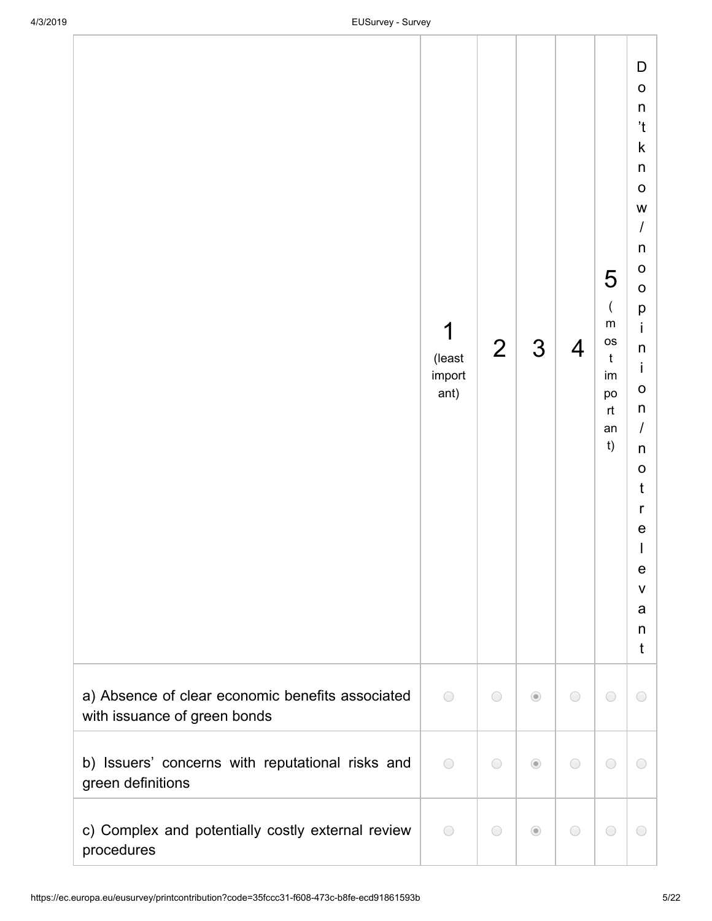|                                                                                  | 1<br>(least<br>import<br>ant) | $\overline{2}$ | 3                                      | $\overline{4}$ | 5<br>$\overline{(}$<br>${\sf m}$<br><b>OS</b><br>$\mathfrak t$<br>im<br>po<br>rt<br>an<br>t) | D<br>$\mathsf O$<br>$\sf n$<br>'t<br>k<br>$\sf n$<br>$\mathsf O$<br>W<br>$\overline{I}$<br>n<br>O<br>$\mathsf O$<br>p<br>İ<br>$\sf n$<br>İ<br>$\mathbf O$<br>n<br>$\prime$<br>n<br>$\mathsf O$<br>$\mathsf{t}$<br>r<br>$\mathsf e$<br>I<br>e<br>$\mathsf{V}$<br>a<br>n<br>t |  |
|----------------------------------------------------------------------------------|-------------------------------|----------------|----------------------------------------|----------------|----------------------------------------------------------------------------------------------|-----------------------------------------------------------------------------------------------------------------------------------------------------------------------------------------------------------------------------------------------------------------------------|--|
| a) Absence of clear economic benefits associated<br>with issuance of green bonds | $\bigcirc$                    | $\bigcirc$     | $\odot$                                | $\bigcirc$     | $\bigcirc$                                                                                   | $\bigcirc$                                                                                                                                                                                                                                                                  |  |
| b) Issuers' concerns with reputational risks and<br>green definitions            | $\bigcirc$                    | $\bigcirc$     | $\odot$                                | $\bigcirc$     | $\bigcirc$                                                                                   | $\bigcirc$                                                                                                                                                                                                                                                                  |  |
| c) Complex and potentially costly external review<br>procedures                  | $\bigcirc$                    | $\bigcirc$     | $\begin{array}{c} \bullet \end{array}$ | $\bigcirc$     | $\bigcirc$                                                                                   | $\bigcirc$                                                                                                                                                                                                                                                                  |  |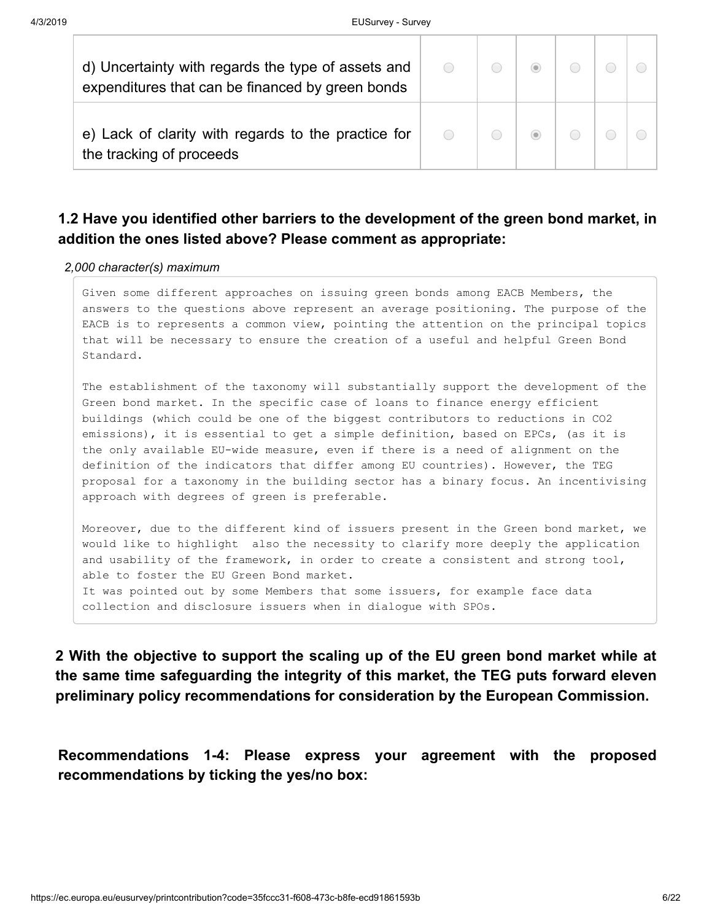| d) Uncertainty with regards the type of assets and<br>expenditures that can be financed by green bonds | $\bigcirc$ |  |  |  |
|--------------------------------------------------------------------------------------------------------|------------|--|--|--|
| e) Lack of clarity with regards to the practice for<br>the tracking of proceeds                        | $\bigcirc$ |  |  |  |

## **1.2 Have you identified other barriers to the development of the green bond market, in addition the ones listed above? Please comment as appropriate:**

#### *2,000 character(s) maximum*

Given some different approaches on issuing green bonds among EACB Members, the answers to the questions above represent an average positioning. The purpose of the EACB is to represents a common view, pointing the attention on the principal topics that will be necessary to ensure the creation of a useful and helpful Green Bond Standard.

The establishment of the taxonomy will substantially support the development of the Green bond market. In the specific case of loans to finance energy efficient buildings (which could be one of the biggest contributors to reductions in CO2 emissions), it is essential to get a simple definition, based on EPCs, (as it is the only available EU-wide measure, even if there is a need of alignment on the definition of the indicators that differ among EU countries). However, the TEG proposal for a taxonomy in the building sector has a binary focus. An incentivising approach with degrees of green is preferable.

Moreover, due to the different kind of issuers present in the Green bond market, we would like to highlight also the necessity to clarify more deeply the application and usability of the framework, in order to create a consistent and strong tool, able to foster the EU Green Bond market. It was pointed out by some Members that some issuers, for example face data collection and disclosure issuers when in dialogue with SPOs.

**2 With the objective to support the scaling up of the EU green bond market while at the same time safeguarding the integrity of this market, the TEG puts forward eleven preliminary policy recommendations for consideration by the European Commission.**

**Recommendations 1-4: Please express your agreement with the proposed recommendations by ticking the yes/no box:**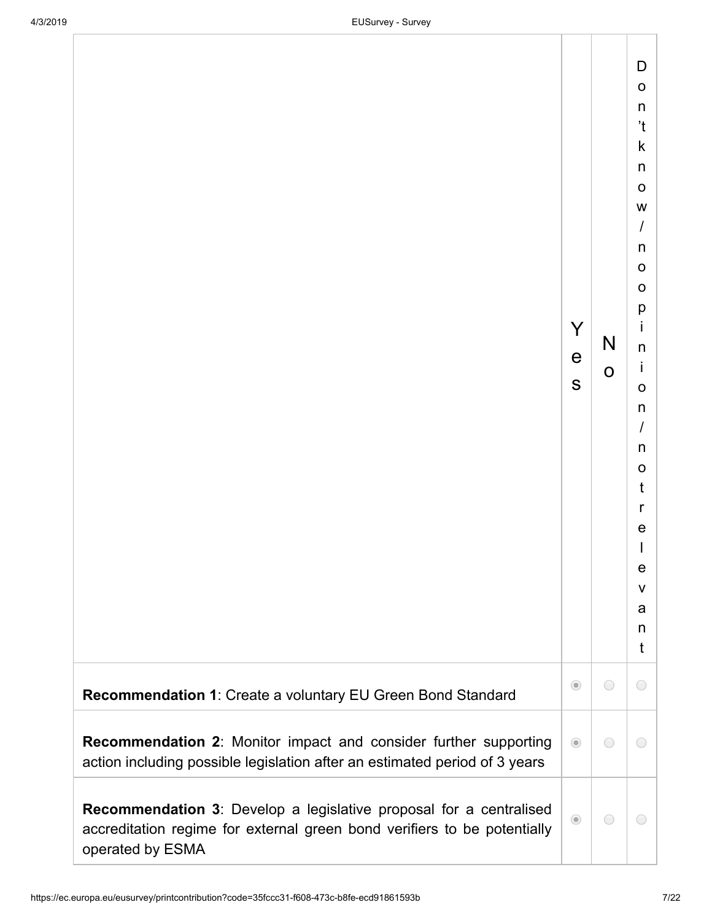|                                                                                                                                                                           | Y<br>e<br>S | N<br>$\mathbf 0$ | D<br>$\circ$<br>$\sf n$<br>$\mathfrak{t}$<br>$\mathsf k$<br>$\sf n$<br>$\mathsf O$<br>W<br>$\overline{I}$<br>$\sf n$<br>$\circ$<br>$\mathbf O$<br>p<br>i<br>$\sf n$<br>İ<br>$\circ$<br>n<br>$\cal I$<br>n<br>$\circ$<br>t<br>r<br>$\mathsf{e}\,$<br>I<br>e<br>V<br>a<br>n<br>t |  |
|---------------------------------------------------------------------------------------------------------------------------------------------------------------------------|-------------|------------------|--------------------------------------------------------------------------------------------------------------------------------------------------------------------------------------------------------------------------------------------------------------------------------|--|
| Recommendation 1: Create a voluntary EU Green Bond Standard                                                                                                               | $\odot$     | $\bigcirc$       | $\bigcirc$                                                                                                                                                                                                                                                                     |  |
| <b>Recommendation 2: Monitor impact and consider further supporting</b><br>action including possible legislation after an estimated period of 3 years                     | $\odot$     | $\bigcirc$       | 0                                                                                                                                                                                                                                                                              |  |
| <b>Recommendation 3:</b> Develop a legislative proposal for a centralised<br>accreditation regime for external green bond verifiers to be potentially<br>operated by ESMA | $\odot$     | $\bigcirc$       | $\bigcirc$                                                                                                                                                                                                                                                                     |  |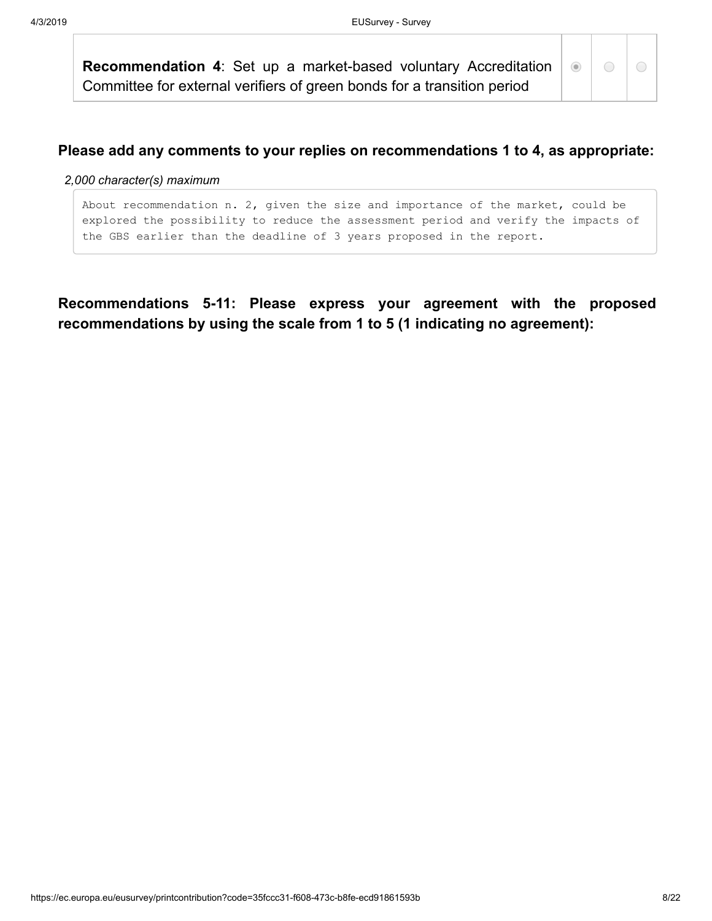**Recommendation 4**: Set up a market-based voluntary Accreditation Committee for external verifiers of green bonds for a transition period

 $\odot$ 

### **Please add any comments to your replies on recommendations 1 to 4, as appropriate:**

#### *2,000 character(s) maximum*

About recommendation n. 2, given the size and importance of the market, could be explored the possibility to reduce the assessment period and verify the impacts of the GBS earlier than the deadline of 3 years proposed in the report.

**Recommendations 5-11: Please express your agreement with the proposed recommendations by using the scale from 1 to 5 (1 indicating no agreement):**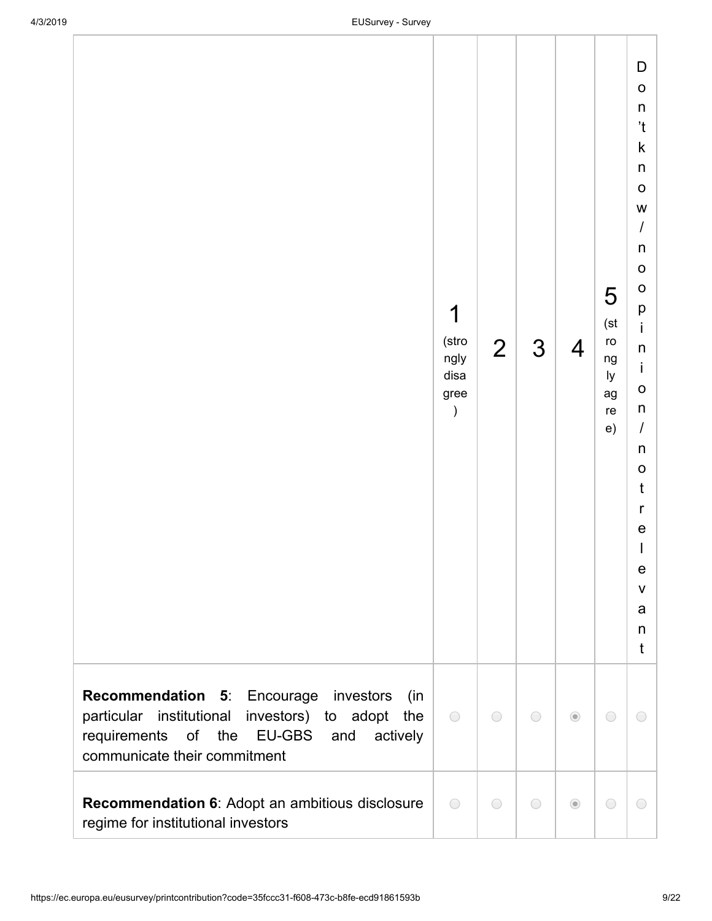|                                                                                                                                                                                             | 1<br>(stro<br>ngly<br>disa<br>gree<br>$\mathcal{C}$ | $\overline{2}$ | 3          | $\overline{4}$ | 5<br>(st<br>ro<br>ng<br>ly<br>ag<br>re<br>e) | D<br>$\mathsf O$<br>n<br>'t<br>k<br>n<br>$\mathbf O$<br>W<br>I<br>n<br>$\mathsf O$<br>$\mathsf O$<br>р<br>İ.<br>n<br>İ<br>$\mathsf{o}$<br>n<br>$\overline{I}$<br>n<br>$\mathsf O$<br>t<br>r<br>e<br>$\mathsf I$<br>e<br>$\mathsf V$<br>a<br>n<br>t |  |
|---------------------------------------------------------------------------------------------------------------------------------------------------------------------------------------------|-----------------------------------------------------|----------------|------------|----------------|----------------------------------------------|----------------------------------------------------------------------------------------------------------------------------------------------------------------------------------------------------------------------------------------------------|--|
| Recommendation 5: Encourage investors<br>(in)<br>institutional investors) to<br>particular<br>adopt<br>the<br>requirements of the EU-GBS<br>and<br>actively<br>communicate their commitment | $\bigcirc$                                          | $\bigcirc$     | $\bigcirc$ | $\odot$        | $\bigcirc$                                   | $\bigcirc$                                                                                                                                                                                                                                         |  |
| <b>Recommendation 6:</b> Adopt an ambitious disclosure<br>regime for institutional investors                                                                                                | $\bigcirc$                                          | $\bigcirc$     | $\bigcirc$ | $\odot$        | $\bigcirc$                                   | $\bigcirc$                                                                                                                                                                                                                                         |  |

regime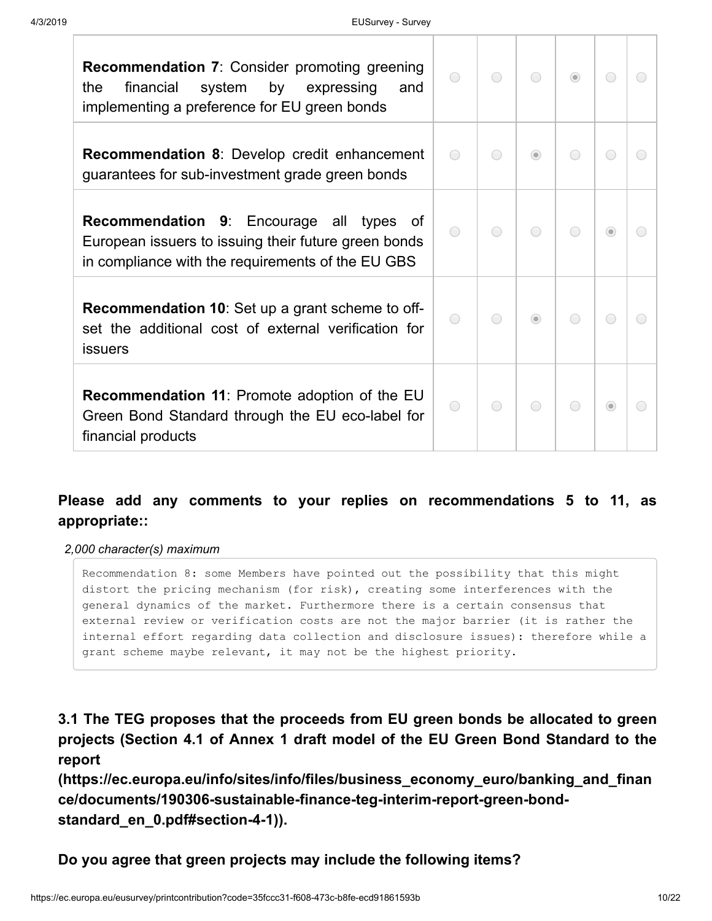| <b>Recommendation 7: Consider promoting greening</b><br>system<br>by expressing<br>financial<br>the<br>and<br>implementing a preference for EU green bonds      | $\bigcirc$ | $\bigcap$  |         | $\odot$ | ⌒       | ◯                                             |
|-----------------------------------------------------------------------------------------------------------------------------------------------------------------|------------|------------|---------|---------|---------|-----------------------------------------------|
| <b>Recommendation 8:</b> Develop credit enhancement<br>guarantees for sub-investment grade green bonds                                                          | $\bigcirc$ | $\bigcirc$ | $\odot$ | ◯       | ◯       |                                               |
| <b>Recommendation 9:</b> Encourage all types<br>0t<br>European issuers to issuing their future green bonds<br>in compliance with the requirements of the EU GBS | $\bigcirc$ | $\bigcirc$ | ◯       | ◯       | $\circ$ | ◯                                             |
| <b>Recommendation 10:</b> Set up a grant scheme to off-<br>set the additional cost of external verification for<br><b>issuers</b>                               |            |            | $\odot$ |         | ◯       |                                               |
| <b>Recommendation 11: Promote adoption of the EU</b><br>Green Bond Standard through the EU eco-label for<br>financial products                                  | ∩          | $\bigcirc$ |         | ◯       | $\circ$ | $\left( \begin{array}{c} \end{array} \right)$ |

## **Please add any comments to your replies on recommendations 5 to 11, as appropriate::**

*2,000 character(s) maximum*

Recommendation 8: some Members have pointed out the possibility that this might distort the pricing mechanism (for risk), creating some interferences with the general dynamics of the market. Furthermore there is a certain consensus that external review or verification costs are not the major barrier (it is rather the internal effort regarding data collection and disclosure issues): therefore while a grant scheme maybe relevant, it may not be the highest priority.

**3.1 The TEG proposes that the proceeds from EU green bonds be allocated to green projects (Section 4.1 of Annex 1 draft model of the EU Green Bond Standard to the report**

**[\(https://ec.europa.eu/info/sites/info/files/business\\_economy\\_euro/banking\\_and\\_finan](https://ec.europa.eu/info/sites/info/files/business_economy_euro/banking_and_finance/documents/190306-sustainable-finance-teg-interim-report-green-bond-standard_en_0.pdf#section-4-1) ce/documents/190306-sustainable-finance-teg-interim-report-green-bondstandard\_en\_0.pdf#section-4-1)).**

**Do you agree that green projects may include the following items?**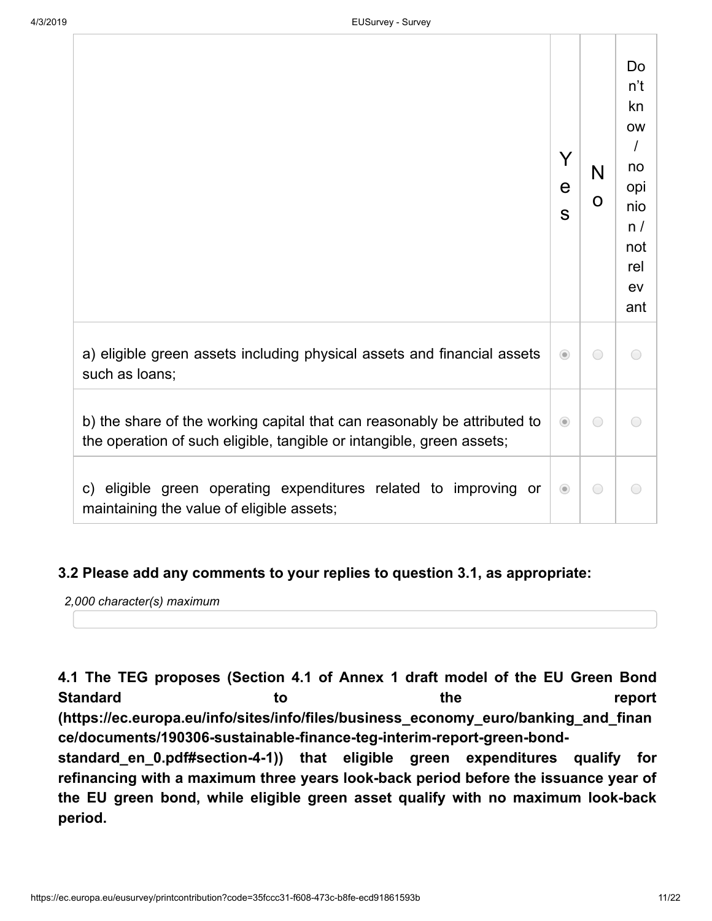|                                                                                                                                                   | Y<br>e<br>S | N<br>O     | Do<br>n't<br>kn<br><b>OW</b><br>$\prime$<br>no<br>opi<br>nio<br>n/<br>not<br>rel<br>ev<br>ant |
|---------------------------------------------------------------------------------------------------------------------------------------------------|-------------|------------|-----------------------------------------------------------------------------------------------|
| a) eligible green assets including physical assets and financial assets<br>such as loans;                                                         | $\odot$     | ◯          | $\bigcirc$                                                                                    |
| b) the share of the working capital that can reasonably be attributed to<br>the operation of such eligible, tangible or intangible, green assets; | $\odot$     | $\bigcirc$ |                                                                                               |
| c) eligible green operating expenditures related to improving or<br>maintaining the value of eligible assets;                                     | $\odot$     | $\bigcirc$ |                                                                                               |

## **3.2 Please add any comments to your replies to question 3.1, as appropriate:**

*2,000 character(s) maximum*

**4.1 The TEG proposes (Section 4.1 of Annex 1 draft model of the EU Green Bond Standard to the report [\(https://ec.europa.eu/info/sites/info/files/business\\_economy\\_euro/banking\\_and\\_finan](https://ec.europa.eu/info/sites/info/files/business_economy_euro/banking_and_finance/documents/190306-sustainable-finance-teg-interim-report-green-bond-standard_en_0.pdf#section-4-1) ce/documents/190306-sustainable-finance-teg-interim-report-green-bond-**

**standard\_en\_0.pdf#section-4-1)) that eligible green expenditures qualify for refinancing with a maximum three years look-back period before the issuance year of the EU green bond, while eligible green asset qualify with no maximum look-back period.**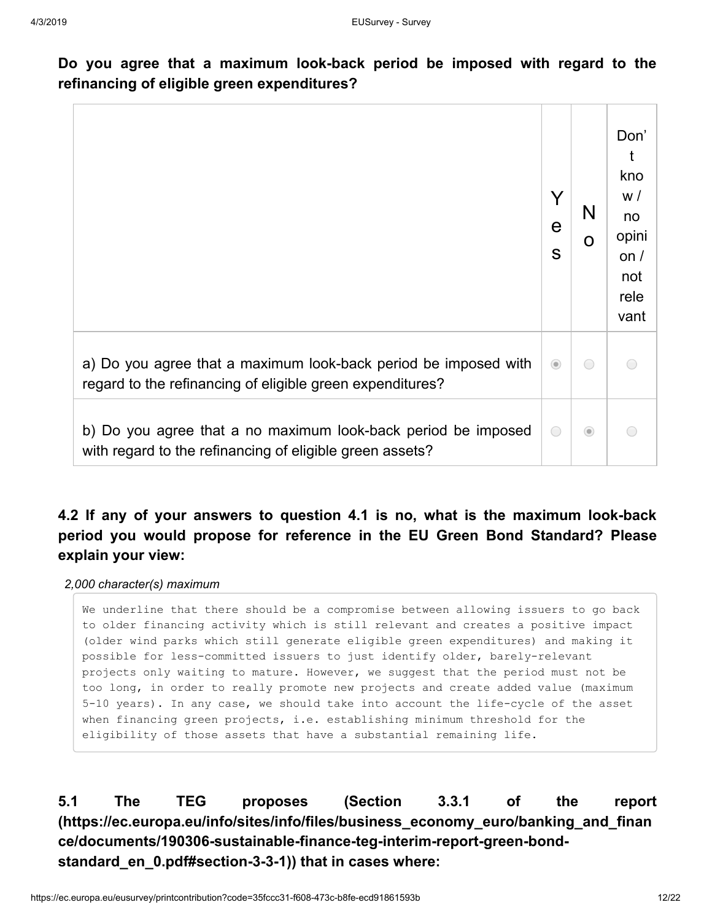**Do you agree that a maximum look-back period be imposed with regard to the refinancing of eligible green expenditures?**

|                                                                                                                              | V<br>е<br>S | N<br>O  | Don'<br>kno<br>W/<br>no<br>opini<br>on $/$<br>not<br>rele<br>vant |
|------------------------------------------------------------------------------------------------------------------------------|-------------|---------|-------------------------------------------------------------------|
| a) Do you agree that a maximum look-back period be imposed with<br>regard to the refinancing of eligible green expenditures? | $\odot$     | ∩       |                                                                   |
| b) Do you agree that a no maximum look-back period be imposed<br>with regard to the refinancing of eligible green assets?    | ∩           | $\odot$ |                                                                   |

**4.2 If any of your answers to question 4.1 is no, what is the maximum look-back period you would propose for reference in the EU Green Bond Standard? Please explain your view:**

*2,000 character(s) maximum*

We underline that there should be a compromise between allowing issuers to go back to older financing activity which is still relevant and creates a positive impact (older wind parks which still generate eligible green expenditures) and making it possible for less-committed issuers to just identify older, barely-relevant projects only waiting to mature. However, we suggest that the period must not be too long, in order to really promote new projects and create added value (maximum 5-10 years). In any case, we should take into account the life-cycle of the asset when financing green projects, i.e. establishing minimum threshold for the eligibility of those assets that have a substantial remaining life.

**5.1 The TEG proposes (Section 3.3.1 of the report [\(https://ec.europa.eu/info/sites/info/files/business\\_economy\\_euro/banking\\_and\\_finan](https://ec.europa.eu/info/sites/info/files/business_economy_euro/banking_and_finance/documents/190306-sustainable-finance-teg-interim-report-green-bond-standard_en_0.pdf#section-3-3-1) ce/documents/190306-sustainable-finance-teg-interim-report-green-bondstandard\_en\_0.pdf#section-3-3-1)) that in cases where:**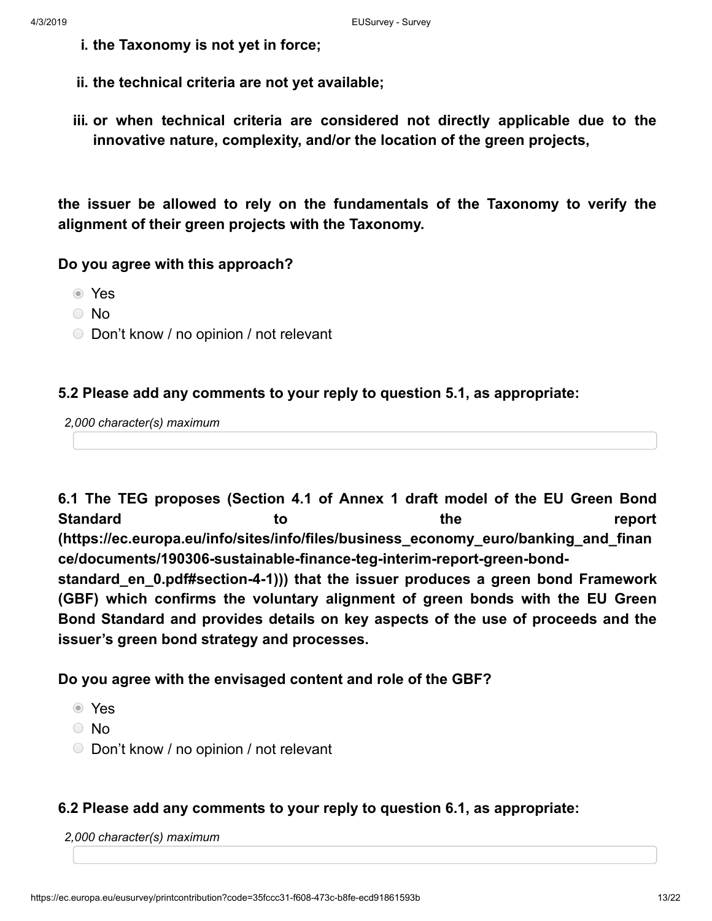- **i. the Taxonomy is not yet in force;**
- **ii. the technical criteria are not yet available;**
- **iii. or when technical criteria are considered not directly applicable due to the innovative nature, complexity, and/or the location of the green projects,**

**the issuer be allowed to rely on the fundamentals of the Taxonomy to verify the alignment of their green projects with the Taxonomy.**

## **Do you agree with this approach?**

- Yes
- No
- Don't know / no opinion / not relevant

### **5.2 Please add any comments to your reply to question 5.1, as appropriate:**

*2,000 character(s) maximum*

**6.1 The TEG proposes (Section 4.1 of Annex 1 draft model of the EU Green Bond Standard to the report [\(https://ec.europa.eu/info/sites/info/files/business\\_economy\\_euro/banking\\_and\\_finan](https://ec.europa.eu/info/sites/info/files/business_economy_euro/banking_and_finance/documents/190306-sustainable-finance-teg-interim-report-green-bond-standard_en_0.pdf#section-4-1) ce/documents/190306-sustainable-finance-teg-interim-report-green-bondstandard\_en\_0.pdf#section-4-1))) that the issuer produces a green bond Framework (GBF) which confirms the voluntary alignment of green bonds with the EU Green Bond Standard and provides details on key aspects of the use of proceeds and the issuer's green bond strategy and processes.**

**Do you agree with the envisaged content and role of the GBF?**

- Yes
- No
- Don't know / no opinion / not relevant

### **6.2 Please add any comments to your reply to question 6.1, as appropriate:**

*2,000 character(s) maximum*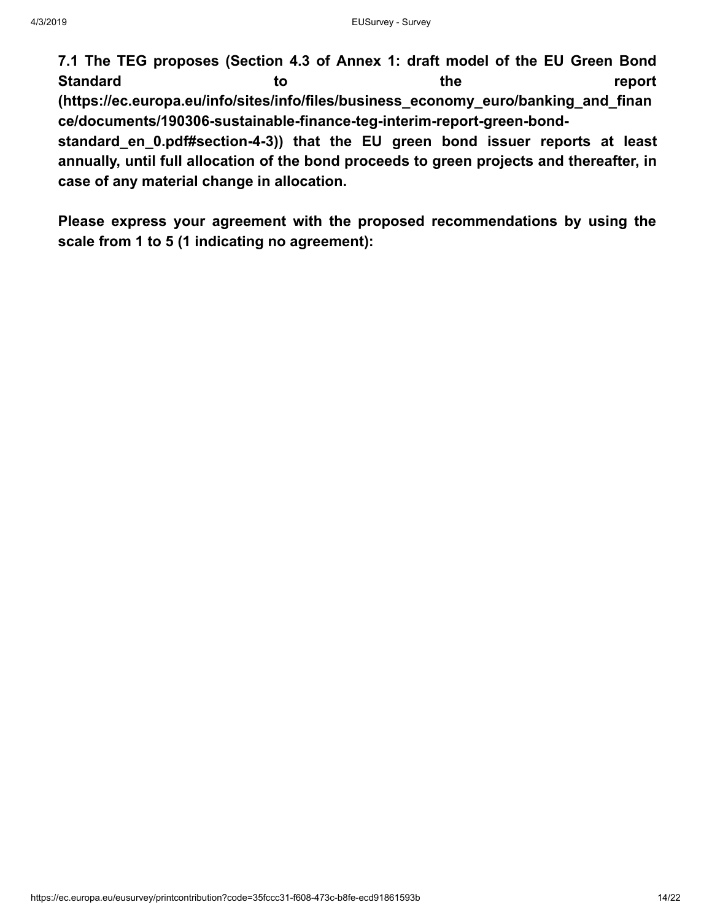**7.1 The TEG proposes (Section 4.3 of Annex 1: draft model of the EU Green Bond Standard to the report [\(https://ec.europa.eu/info/sites/info/files/business\\_economy\\_euro/banking\\_and\\_finan](https://ec.europa.eu/info/sites/info/files/business_economy_euro/banking_and_finance/documents/190306-sustainable-finance-teg-interim-report-green-bond-standard_en_0.pdf#section-4-3) ce/documents/190306-sustainable-finance-teg-interim-report-green-bond-**

**standard\_en\_0.pdf#section-4-3)) that the EU green bond issuer reports at least annually, until full allocation of the bond proceeds to green projects and thereafter, in case of any material change in allocation.**

**Please express your agreement with the proposed recommendations by using the scale from 1 to 5 (1 indicating no agreement):**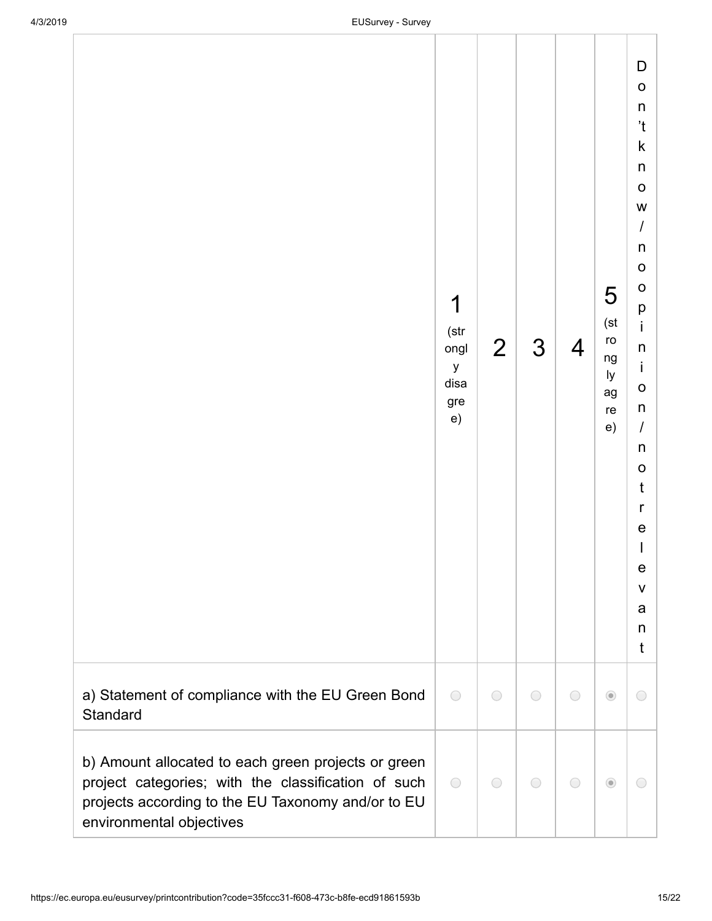|                                                                                                                                                                                              | 1<br>(str<br>ongl<br>у<br>disa<br>gre<br>e) | $\overline{2}$ | 3          | $\overline{4}$ | 5<br>(st<br>ro<br>ng<br>ly<br>ag<br>re<br>e) | D<br>$\mathsf O$<br>$\sf n$<br>$^{\prime}$ t<br>$\sf k$<br>$\sf n$<br>$\mathsf O$<br>W<br>$\sqrt{ }$<br>$\sf n$<br>$\mathsf O$<br>$\mathsf O$<br>p<br>İ.<br>n<br>İ<br>$\mathbf{o}$<br>n<br>$\overline{I}$<br>n<br>$\mathsf O$<br>t<br>r<br>$\mathsf{e}$<br>I<br>e<br>$\mathsf{V}$<br>a<br>n<br>t |  |
|----------------------------------------------------------------------------------------------------------------------------------------------------------------------------------------------|---------------------------------------------|----------------|------------|----------------|----------------------------------------------|--------------------------------------------------------------------------------------------------------------------------------------------------------------------------------------------------------------------------------------------------------------------------------------------------|--|
| a) Statement of compliance with the EU Green Bond<br>Standard                                                                                                                                | $\bigcirc$                                  | $\bigcirc$     | $\bigcirc$ | $\bigcirc$     | $\odot$                                      | $\bigcirc$                                                                                                                                                                                                                                                                                       |  |
| b) Amount allocated to each green projects or green<br>project categories; with the classification of such<br>projects according to the EU Taxonomy and/or to EU<br>environmental objectives | $\bigcirc$                                  | $\bigcirc$     | $\bigcirc$ | $\bigcirc$     | $\odot$                                      | $\bigcirc$                                                                                                                                                                                                                                                                                       |  |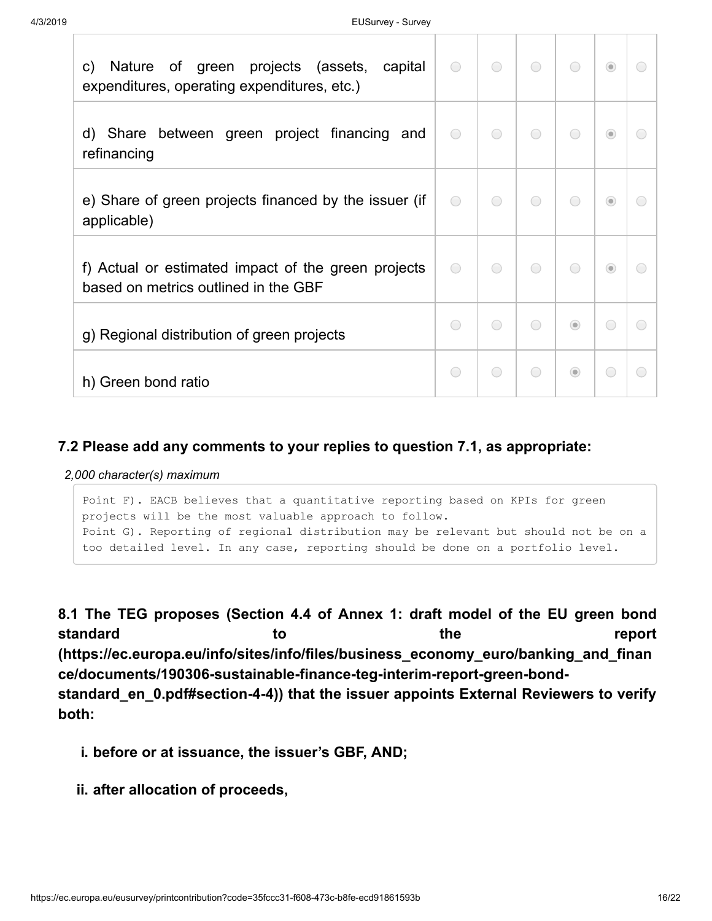| green projects (assets, capital<br>of<br>$\mathsf{C}$<br>Nature<br>expenditures, operating expenditures, etc.) | $\bigcirc$ | $\bigcirc$ | $\bigcirc$ | $\bigcirc$ | $\odot$    | $\left( \begin{array}{c} \end{array} \right)$ |
|----------------------------------------------------------------------------------------------------------------|------------|------------|------------|------------|------------|-----------------------------------------------|
| d) Share between green project financing and<br>refinancing                                                    | $\bigcirc$ | $\bigcirc$ | $\bigcirc$ | $\bigcirc$ | $\odot$    | $\overline{(\phantom{a})}$                    |
| e) Share of green projects financed by the issuer (if<br>applicable)                                           | $\bigcirc$ | $\bigcirc$ | $\bigcirc$ | $\bigcirc$ | $\odot$    | $\overline{(\phantom{a})}$                    |
| f) Actual or estimated impact of the green projects<br>based on metrics outlined in the GBF                    | $\bigcirc$ | $\bigcirc$ | $\bigcap$  | $\bigcap$  | $\odot$    | ◯                                             |
| g) Regional distribution of green projects                                                                     | ◯          | $\bigcap$  | $\bigcap$  | $\odot$    | $\bigcirc$ | ∩                                             |
| h) Green bond ratio                                                                                            | $\bigcirc$ | $\bigcirc$ | $\bigcap$  | $\odot$    | $\bigcirc$ | O                                             |

## **7.2 Please add any comments to your replies to question 7.1, as appropriate:**

*2,000 character(s) maximum*

```
Point F). EACB believes that a quantitative reporting based on KPIs for green
projects will be the most valuable approach to follow. 
Point G). Reporting of regional distribution may be relevant but should not be on a
too detailed level. In any case, reporting should be done on a portfolio level.
```
**8.1 The TEG proposes (Section 4.4 of Annex 1: draft model of the EU green bond standard to the report [\(https://ec.europa.eu/info/sites/info/files/business\\_economy\\_euro/banking\\_and\\_finan](https://ec.europa.eu/info/sites/info/files/business_economy_euro/banking_and_finance/documents/190306-sustainable-finance-teg-interim-report-green-bond-standard_en_0.pdf#section-4-4) ce/documents/190306-sustainable-finance-teg-interim-report-green-bondstandard\_en\_0.pdf#section-4-4)) that the issuer appoints External Reviewers to verify both:**

- **i. before or at issuance, the issuer's GBF, AND;**
- **ii. after allocation of proceeds,**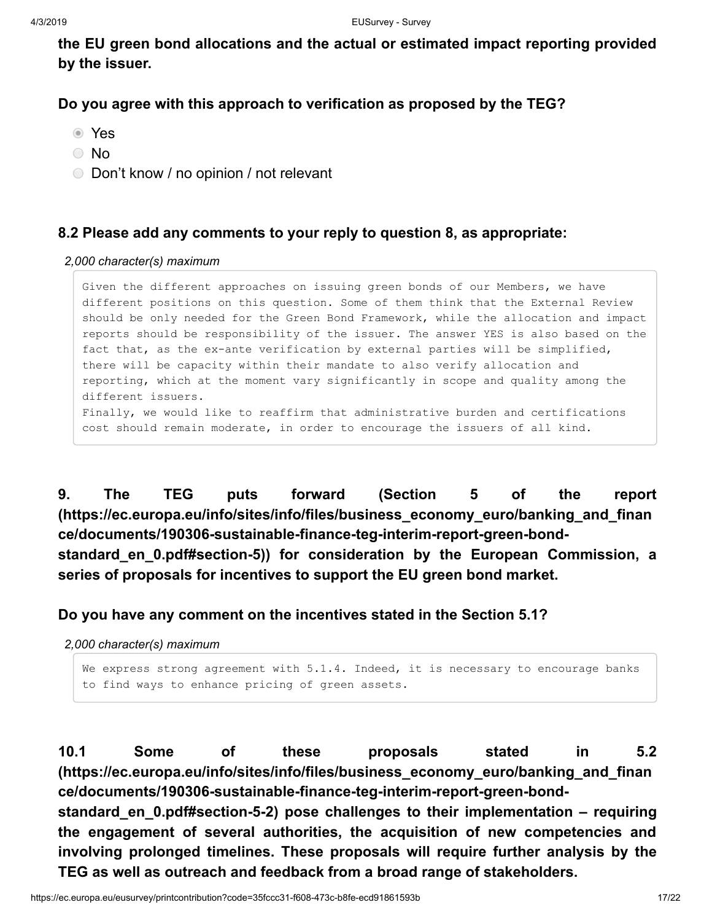**the EU green bond allocations and the actual or estimated impact reporting provided by the issuer.**

## **Do you agree with this approach to verification as proposed by the TEG?**

- Yes
- No
- Don't know / no opinion / not relevant

## **8.2 Please add any comments to your reply to question 8, as appropriate:**

*2,000 character(s) maximum*

Given the different approaches on issuing green bonds of our Members, we have different positions on this question. Some of them think that the External Review should be only needed for the Green Bond Framework, while the allocation and impact reports should be responsibility of the issuer. The answer YES is also based on the fact that, as the ex-ante verification by external parties will be simplified, there will be capacity within their mandate to also verify allocation and reporting, which at the moment vary significantly in scope and quality among the different issuers. Finally, we would like to reaffirm that administrative burden and certifications cost should remain moderate, in order to encourage the issuers of all kind.

**9. The TEG puts forward (Section 5 of the report [\(https://ec.europa.eu/info/sites/info/files/business\\_economy\\_euro/banking\\_and\\_finan](https://ec.europa.eu/info/sites/info/files/business_economy_euro/banking_and_finance/documents/190306-sustainable-finance-teg-interim-report-green-bond-standard_en_0.pdf#section-5) ce/documents/190306-sustainable-finance-teg-interim-report-green-bondstandard\_en\_0.pdf#section-5)) for consideration by the European Commission, a series of proposals for incentives to support the EU green bond market.**

**Do you have any comment on the incentives stated in the Section 5.1?**

*2,000 character(s) maximum*

```
We express strong agreement with 5.1.4. Indeed, it is necessary to encourage banks
to find ways to enhance pricing of green assets.
```
**10.1 Some of these proposals stated in 5.2 [\(https://ec.europa.eu/info/sites/info/files/business\\_economy\\_euro/banking\\_and\\_finan](https://ec.europa.eu/info/sites/info/files/business_economy_euro/banking_and_finance/documents/190306-sustainable-finance-teg-interim-report-green-bond-standard_en_0.pdf#section-5-2) ce/documents/190306-sustainable-finance-teg-interim-report-green-bondstandard\_en\_0.pdf#section-5-2) pose challenges to their implementation – requiring the engagement of several authorities, the acquisition of new competencies and involving prolonged timelines. These proposals will require further analysis by the**

**TEG as well as outreach and feedback from a broad range of stakeholders.**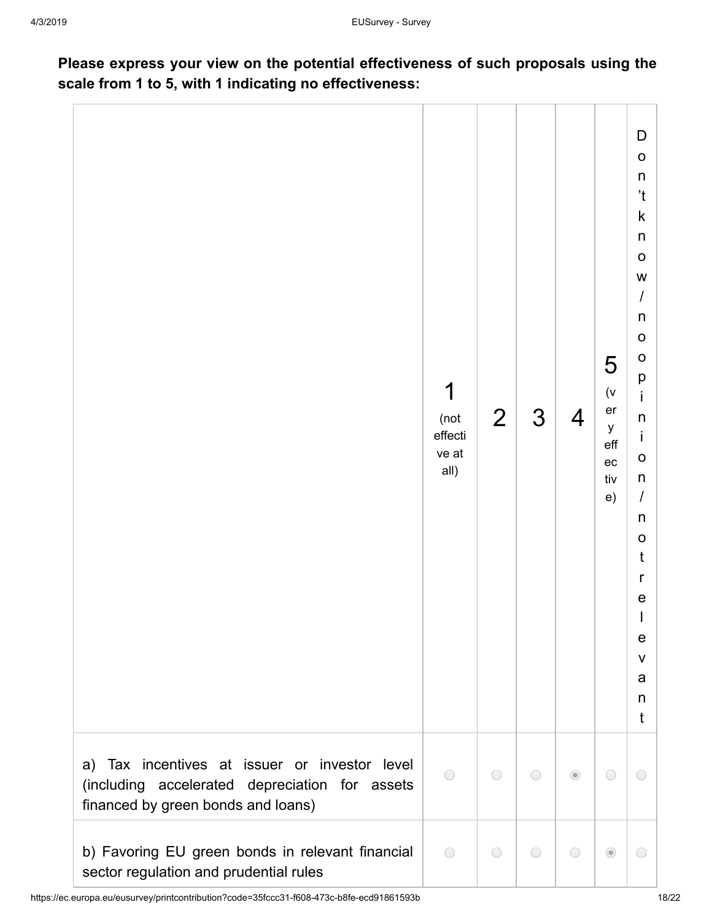## **Please express your view on the potential effectiveness of such proposals using the scale from 1 to 5, with 1 indicating no effectiveness:**

|                                                                                                                                       | 1<br>(not<br>effecti<br>ve at<br>all) | $\overline{2}$ | 3          | $\overline{\mathcal{A}}$ | 5<br>$(\mathsf{V}% _{0})_{0\leq\mathsf{V}}^{\alpha}$<br>er<br>У<br>eff<br>ec<br>tiv<br>e) | D<br>$\mathbf 0$<br>n<br>'t<br>$\sf k$<br>$\mathsf{n}$<br>$\mathsf O$<br>W<br>$\prime$<br>n<br>$\mathsf O$<br>$\circ$<br>p<br>İ<br>n<br>İ<br>$\circ$<br>$\mathsf{n}$<br>$\overline{I}$<br>n<br>$\circ$<br>t<br>$\mathsf{r}$<br>e<br>e<br>$\mathsf{V}$<br>a<br>n<br>$\mathsf{t}$ |
|---------------------------------------------------------------------------------------------------------------------------------------|---------------------------------------|----------------|------------|--------------------------|-------------------------------------------------------------------------------------------|---------------------------------------------------------------------------------------------------------------------------------------------------------------------------------------------------------------------------------------------------------------------------------|
| a) Tax incentives at issuer or investor level<br>(including accelerated depreciation for assets<br>financed by green bonds and loans) | $\bigcirc$                            | $\bigcirc$     | $\bigcirc$ | $\odot$                  | $\bigcirc$                                                                                | 0                                                                                                                                                                                                                                                                               |
| b) Favoring EU green bonds in relevant financial<br>sector regulation and prudential rules                                            | $\bigcirc$                            | $\bigcirc$     | $\bigcirc$ | $\bigcirc$               | $\odot$                                                                                   | $\bigcirc$                                                                                                                                                                                                                                                                      |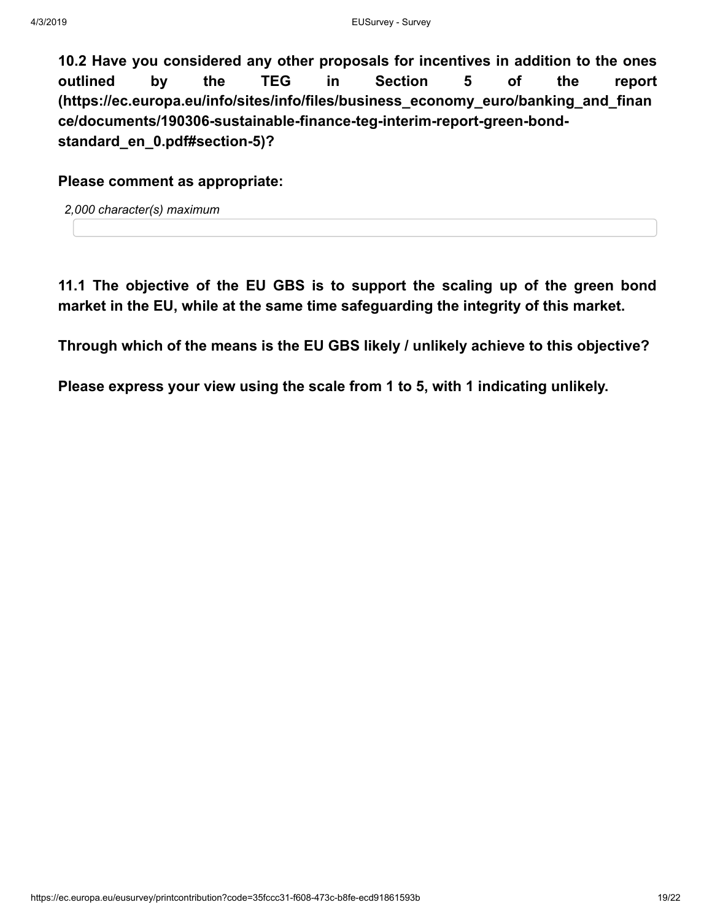**10.2 Have you considered any other proposals for incentives in addition to the ones outlined by the TEG in Section 5 of the report [\(https://ec.europa.eu/info/sites/info/files/business\\_economy\\_euro/banking\\_and\\_finan](https://ec.europa.eu/info/sites/info/files/business_economy_euro/banking_and_finance/documents/190306-sustainable-finance-teg-interim-report-green-bond-standard_en_0.pdf#section-5) ce/documents/190306-sustainable-finance-teg-interim-report-green-bondstandard\_en\_0.pdf#section-5)?**

**Please comment as appropriate:**

*2,000 character(s) maximum*

**11.1 The objective of the EU GBS is to support the scaling up of the green bond market in the EU, while at the same time safeguarding the integrity of this market.**

**Through which of the means is the EU GBS likely / unlikely achieve to this objective?**

**Please express your view using the scale from 1 to 5, with 1 indicating unlikely.**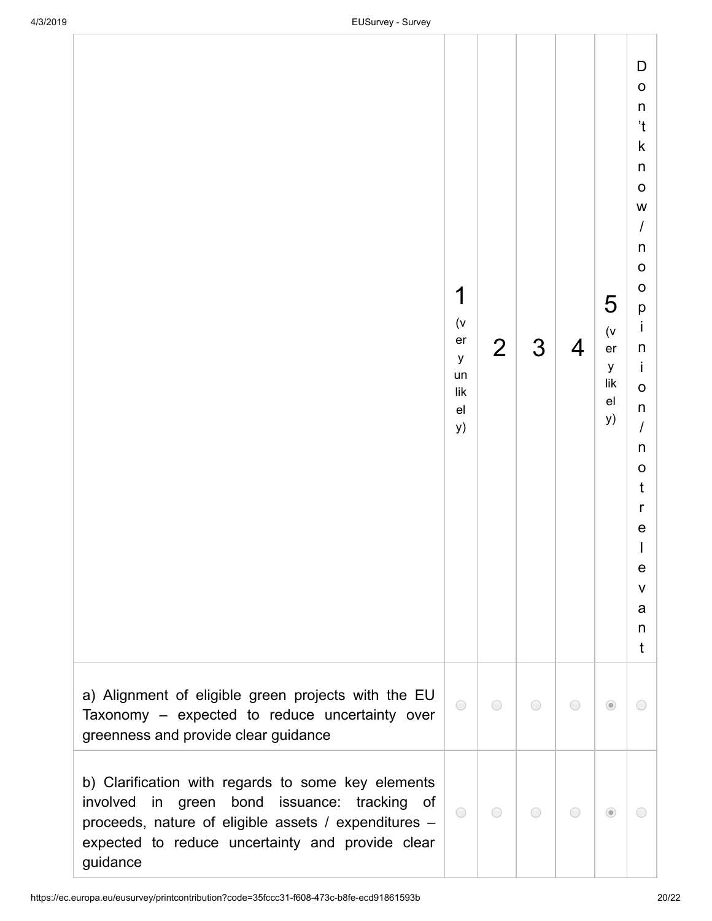|                                                                                                                                                                                                                                              | 1<br>(v)<br>er<br>y<br>un<br>$\sf{lik}$<br>e <sub>l</sub><br>y) | $\overline{2}$ | 3          | 4          | 5<br>(v)<br>er<br>$\mathsf y$<br>lik<br>e <sub>l</sub><br>y) | D<br>$\mathsf O$<br>$\sf n$<br>$\mathfrak{t}$<br>$\sf k$<br>$\mathsf{n}$<br>$\mathsf O$<br>W<br>$\boldsymbol{I}$<br>$\sf n$<br>$\mathbf O$<br>$\circ$<br>p<br>$\mathbf i$<br>n<br>İ<br>$\mathbf 0$<br>$\mathsf{n}$<br>$\cal I$<br>$\sf n$<br>$\circ$<br>$\mathfrak t$<br>$\mathsf{r}$<br>e<br>$\mathsf I$<br>e<br>V<br>a<br>n<br>t |  |
|----------------------------------------------------------------------------------------------------------------------------------------------------------------------------------------------------------------------------------------------|-----------------------------------------------------------------|----------------|------------|------------|--------------------------------------------------------------|------------------------------------------------------------------------------------------------------------------------------------------------------------------------------------------------------------------------------------------------------------------------------------------------------------------------------------|--|
| a) Alignment of eligible green projects with the EU<br>Taxonomy - expected to reduce uncertainty over<br>greenness and provide clear guidance                                                                                                | $\bigcirc$                                                      | $\bigcirc$     | $\bigcirc$ | $\bigcirc$ | $\circledcirc$                                               | $\bigcirc$                                                                                                                                                                                                                                                                                                                         |  |
| b) Clarification with regards to some key elements<br>involved<br>bond<br>issuance:<br>tracking<br>in<br>green<br>of<br>proceeds, nature of eligible assets / expenditures -<br>expected to reduce uncertainty and provide clear<br>guidance | $\bigcirc$                                                      | $\bigcirc$     | $\bigcirc$ | $\bigcirc$ | $\odot$                                                      | $\bigcirc$                                                                                                                                                                                                                                                                                                                         |  |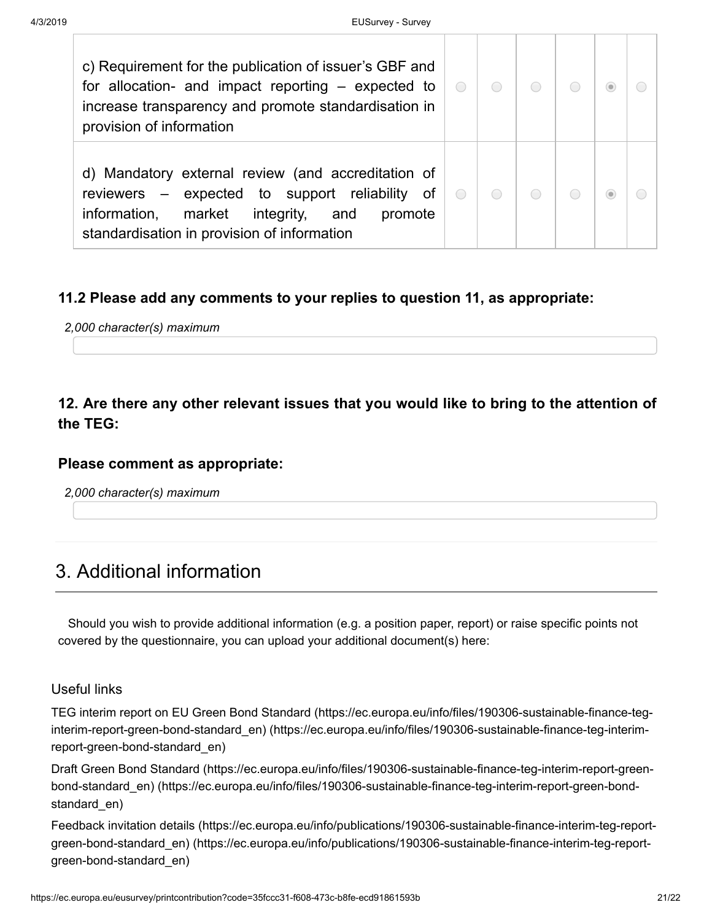| c) Requirement for the publication of issuer's GBF and<br>for allocation- and impact reporting – expected to<br>increase transparency and promote standardisation in<br>provision of information           | $\bigcirc$ |  |  |  |
|------------------------------------------------------------------------------------------------------------------------------------------------------------------------------------------------------------|------------|--|--|--|
| d) Mandatory external review (and accreditation of<br>reviewers – expected to support reliability<br>of<br>information,<br>market integrity, and<br>promote<br>standardisation in provision of information | $\bigcirc$ |  |  |  |

## **11.2 Please add any comments to your replies to question 11, as appropriate:**

*2,000 character(s) maximum*

## **12. Are there any other relevant issues that you would like to bring to the attention of the TEG:**

### **Please comment as appropriate:**

*2,000 character(s) maximum*

# 3. Additional information

 Should you wish to provide additional information (e.g. a position paper, report) or raise specific points not covered by the questionnaire, you can upload your additional document(s) here:

### Useful links

[TEG interim report on EU Green Bond Standard \(https://ec.europa.eu/info/files/190306-sustainable-finance-teg](https://ec.europa.eu/info/files/190306-sustainable-finance-teg-interim-report-green-bond-standard_en)interim-report-green-bond-standard\_en) (https://ec.europa.eu/info/files/190306-sustainable-finance-teg-interimreport-green-bond-standard\_en)

[Draft Green Bond Standard \(https://ec.europa.eu/info/files/190306-sustainable-finance-teg-interim-report-green](https://ec.europa.eu/info/files/190306-sustainable-finance-teg-interim-report-green-bond-standard_en)bond-standard\_en) (https://ec.europa.eu/info/files/190306-sustainable-finance-teg-interim-report-green-bondstandard\_en)

[Feedback invitation details \(https://ec.europa.eu/info/publications/190306-sustainable-finance-interim-teg-report](https://ec.europa.eu/info/publications/190306-sustainable-finance-interim-teg-report-green-bond-standard_en)green-bond-standard\_en) (https://ec.europa.eu/info/publications/190306-sustainable-finance-interim-teg-reportgreen-bond-standard\_en)